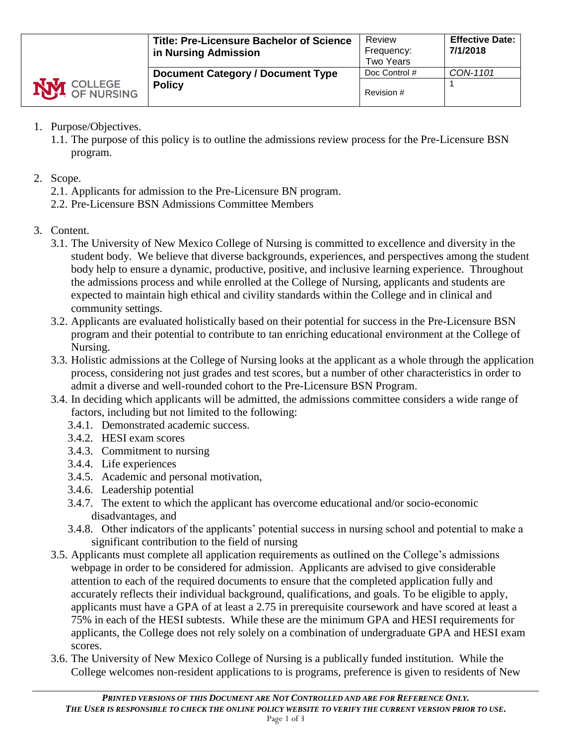|                    | <b>Title: Pre-Licensure Bachelor of Science</b><br>in Nursing Admission | Review<br>Frequency:<br><b>Two Years</b> | <b>Effective Date:</b><br>7/1/2018 |
|--------------------|-------------------------------------------------------------------------|------------------------------------------|------------------------------------|
|                    | <b>Document Category / Document Type</b>                                | Doc Control #                            | CON-1101                           |
| <b>NVI</b> COLLEGE | <b>Policy</b>                                                           | Revision #                               |                                    |

- 1. Purpose/Objectives.
	- 1.1. The purpose of this policy is to outline the admissions review process for the Pre-Licensure BSN program.
- 2. Scope.
	- 2.1. Applicants for admission to the Pre-Licensure BN program.
	- 2.2. Pre-Licensure BSN Admissions Committee Members
- 3. Content.
	- 3.1. The University of New Mexico College of Nursing is committed to excellence and diversity in the student body. We believe that diverse backgrounds, experiences, and perspectives among the student body help to ensure a dynamic, productive, positive, and inclusive learning experience. Throughout the admissions process and while enrolled at the College of Nursing, applicants and students are expected to maintain high ethical and civility standards within the College and in clinical and community settings.
	- 3.2. Applicants are evaluated holistically based on their potential for success in the Pre-Licensure BSN program and their potential to contribute to tan enriching educational environment at the College of Nursing.
	- 3.3. Holistic admissions at the College of Nursing looks at the applicant as a whole through the application process, considering not just grades and test scores, but a number of other characteristics in order to admit a diverse and well-rounded cohort to the Pre-Licensure BSN Program.
	- 3.4. In deciding which applicants will be admitted, the admissions committee considers a wide range of factors, including but not limited to the following:
		- 3.4.1. Demonstrated academic success.
		- 3.4.2. HESI exam scores
		- 3.4.3. Commitment to nursing
		- 3.4.4. Life experiences
		- 3.4.5. Academic and personal motivation,
		- 3.4.6. Leadership potential
		- 3.4.7. The extent to which the applicant has overcome educational and/or socio-economic disadvantages, and
		- 3.4.8. Other indicators of the applicants' potential success in nursing school and potential to make a significant contribution to the field of nursing
	- 3.5. Applicants must complete all application requirements as outlined on the College's admissions webpage in order to be considered for admission. Applicants are advised to give considerable attention to each of the required documents to ensure that the completed application fully and accurately reflects their individual background, qualifications, and goals. To be eligible to apply, applicants must have a GPA of at least a 2.75 in prerequisite coursework and have scored at least a 75% in each of the HESI subtests. While these are the minimum GPA and HESI requirements for applicants, the College does not rely solely on a combination of undergraduate GPA and HESI exam scores.
	- 3.6. The University of New Mexico College of Nursing is a publically funded institution. While the College welcomes non-resident applications to is programs, preference is given to residents of New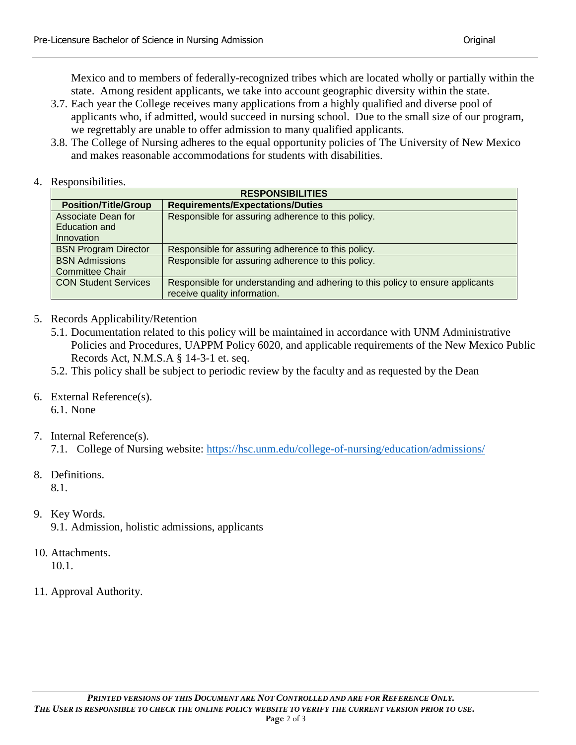Mexico and to members of federally-recognized tribes which are located wholly or partially within the state. Among resident applicants, we take into account geographic diversity within the state.

- 3.7. Each year the College receives many applications from a highly qualified and diverse pool of applicants who, if admitted, would succeed in nursing school. Due to the small size of our program, we regrettably are unable to offer admission to many qualified applicants.
- 3.8. The College of Nursing adheres to the equal opportunity policies of The University of New Mexico and makes reasonable accommodations for students with disabilities.
- 4. Responsibilities.

| <b>RESPONSIBILITIES</b>     |                                                                                |  |  |  |  |
|-----------------------------|--------------------------------------------------------------------------------|--|--|--|--|
| <b>Position/Title/Group</b> | <b>Requirements/Expectations/Duties</b>                                        |  |  |  |  |
| Associate Dean for          | Responsible for assuring adherence to this policy.                             |  |  |  |  |
| Education and               |                                                                                |  |  |  |  |
| Innovation                  |                                                                                |  |  |  |  |
| <b>BSN Program Director</b> | Responsible for assuring adherence to this policy.                             |  |  |  |  |
| <b>BSN Admissions</b>       | Responsible for assuring adherence to this policy.                             |  |  |  |  |
| <b>Committee Chair</b>      |                                                                                |  |  |  |  |
| <b>CON Student Services</b> | Responsible for understanding and adhering to this policy to ensure applicants |  |  |  |  |
|                             | receive quality information.                                                   |  |  |  |  |

- 5. Records Applicability/Retention
	- 5.1. Documentation related to this policy will be maintained in accordance with UNM Administrative Policies and Procedures, UAPPM Policy 6020, and applicable requirements of the New Mexico Public Records Act, N.M.S.A § 14-3-1 et. seq.
	- 5.2. This policy shall be subject to periodic review by the faculty and as requested by the Dean
- 6. External Reference(s). 6.1. None
- 7. Internal Reference(s).

7.1. College of Nursing website:<https://hsc.unm.edu/college-of-nursing/education/admissions/>

8. Definitions.

8.1.

- 9. Key Words.
	- 9.1. Admission, holistic admissions, applicants
- 10. Attachments. 10.1.
- 11. Approval Authority.